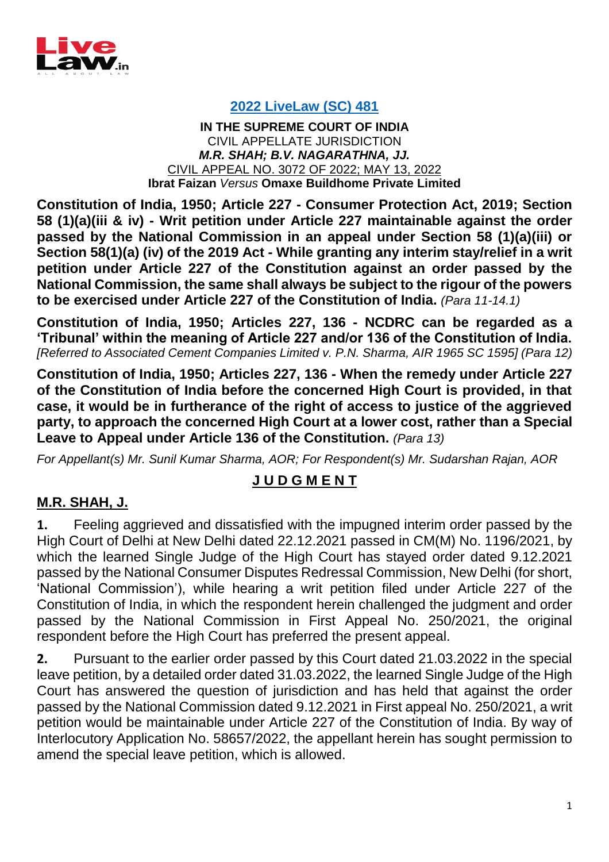

## **[2022 LiveLaw \(SC\) 481](https://www.livelaw.in/top-stories/ncdrc-national-consumer-commission-order-aricle-227-high-court-supreme-court-consumer-protection-act-ibrat-faizan-omaxe-buildhome-2022-livelaw-sc-481-199058)**

**IN THE SUPREME COURT OF INDIA** CIVIL APPELLATE JURISDICTION *M.R. SHAH; B.V. NAGARATHNA, JJ.* CIVIL APPEAL NO. 3072 OF 2022; MAY 13, 2022 **Ibrat Faizan** *Versus* **Omaxe Buildhome Private Limited**

**Constitution of India, 1950; Article 227 - Consumer Protection Act, 2019; Section 58 (1)(a)(iii & iv) - Writ petition under Article 227 maintainable against the order passed by the National Commission in an appeal under Section 58 (1)(a)(iii) or Section 58(1)(a) (iv) of the 2019 Act - While granting any interim stay/relief in a writ petition under Article 227 of the Constitution against an order passed by the National Commission, the same shall always be subject to the rigour of the powers to be exercised under Article 227 of the Constitution of India.** *(Para 11-14.1)*

**Constitution of India, 1950; Articles 227, 136 - NCDRC can be regarded as a 'Tribunal' within the meaning of Article 227 and/or 136 of the Constitution of India.**  *[Referred to Associated Cement Companies Limited v. P.N. Sharma, AIR 1965 SC 1595] (Para 12)*

**Constitution of India, 1950; Articles 227, 136 - When the remedy under Article 227 of the Constitution of India before the concerned High Court is provided, in that case, it would be in furtherance of the right of access to justice of the aggrieved party, to approach the concerned High Court at a lower cost, rather than a Special Leave to Appeal under Article 136 of the Constitution.** *(Para 13)*

*For Appellant(s) Mr. Sunil Kumar Sharma, AOR; For Respondent(s) Mr. Sudarshan Rajan, AOR*

## **J U D G M E N T**

## **M.R. SHAH, J.**

**1.** Feeling aggrieved and dissatisfied with the impugned interim order passed by the High Court of Delhi at New Delhi dated 22.12.2021 passed in CM(M) No. 1196/2021, by which the learned Single Judge of the High Court has stayed order dated 9.12.2021 passed by the National Consumer Disputes Redressal Commission, New Delhi (for short, 'National Commission'), while hearing a writ petition filed under Article 227 of the Constitution of India, in which the respondent herein challenged the judgment and order passed by the National Commission in First Appeal No. 250/2021, the original respondent before the High Court has preferred the present appeal.

**2.** Pursuant to the earlier order passed by this Court dated 21.03.2022 in the special leave petition, by a detailed order dated 31.03.2022, the learned Single Judge of the High Court has answered the question of jurisdiction and has held that against the order passed by the National Commission dated 9.12.2021 in First appeal No. 250/2021, a writ petition would be maintainable under Article 227 of the Constitution of India. By way of Interlocutory Application No. 58657/2022, the appellant herein has sought permission to amend the special leave petition, which is allowed.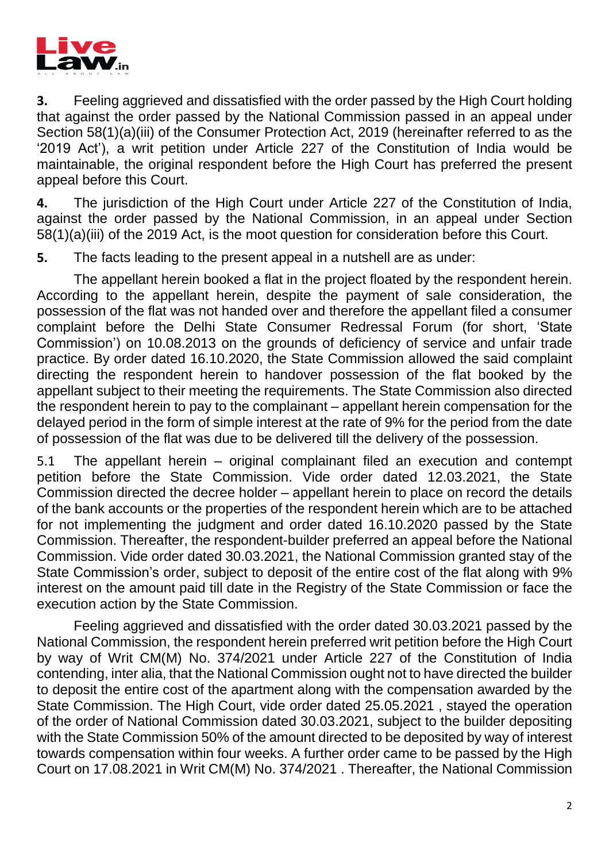

**3.** Feeling aggrieved and dissatisfied with the order passed by the High Court holding that against the order passed by the National Commission passed in an appeal under Section 58(1)(a)(iii) of the Consumer Protection Act, 2019 (hereinafter referred to as the '2019 Act'), a writ petition under Article 227 of the Constitution of India would be maintainable, the original respondent before the High Court has preferred the present appeal before this Court.

**4.** The jurisdiction of the High Court under Article 227 of the Constitution of India, against the order passed by the National Commission, in an appeal under Section 58(1)(a)(iii) of the 2019 Act, is the moot question for consideration before this Court.

**5.** The facts leading to the present appeal in a nutshell are as under:

The appellant herein booked a flat in the project floated by the respondent herein. According to the appellant herein, despite the payment of sale consideration, the possession of the flat was not handed over and therefore the appellant filed a consumer complaint before the Delhi State Consumer Redressal Forum (for short, 'State Commission') on 10.08.2013 on the grounds of deficiency of service and unfair trade practice. By order dated 16.10.2020, the State Commission allowed the said complaint directing the respondent herein to handover possession of the flat booked by the appellant subject to their meeting the requirements. The State Commission also directed the respondent herein to pay to the complainant – appellant herein compensation for the delayed period in the form of simple interest at the rate of 9% for the period from the date of possession of the flat was due to be delivered till the delivery of the possession.

5.1 The appellant herein – original complainant filed an execution and contempt petition before the State Commission. Vide order dated 12.03.2021, the State Commission directed the decree holder – appellant herein to place on record the details of the bank accounts or the properties of the respondent herein which are to be attached for not implementing the judgment and order dated 16.10.2020 passed by the State Commission. Thereafter, the respondent-builder preferred an appeal before the National Commission. Vide order dated 30.03.2021, the National Commission granted stay of the State Commission's order, subject to deposit of the entire cost of the flat along with 9% interest on the amount paid till date in the Registry of the State Commission or face the execution action by the State Commission.

Feeling aggrieved and dissatisfied with the order dated 30.03.2021 passed by the National Commission, the respondent herein preferred writ petition before the High Court by way of Writ CM(M) No. 374/2021 under Article 227 of the Constitution of India contending, inter alia, that the National Commission ought not to have directed the builder to deposit the entire cost of the apartment along with the compensation awarded by the State Commission. The High Court, vide order dated 25.05.2021 , stayed the operation of the order of National Commission dated 30.03.2021, subject to the builder depositing with the State Commission 50% of the amount directed to be deposited by way of interest towards compensation within four weeks. A further order came to be passed by the High Court on 17.08.2021 in Writ CM(M) No. 374/2021 . Thereafter, the National Commission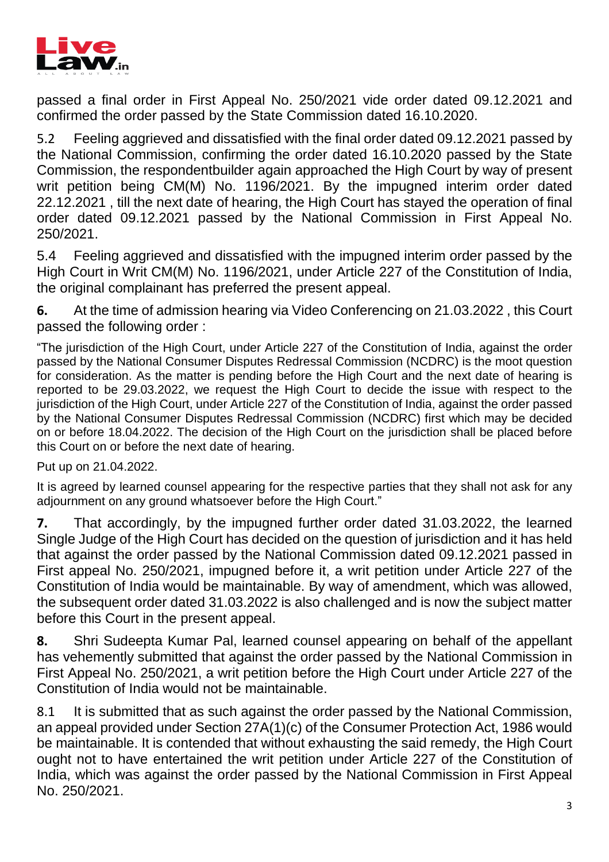

passed a final order in First Appeal No. 250/2021 vide order dated 09.12.2021 and confirmed the order passed by the State Commission dated 16.10.2020.

5.2 Feeling aggrieved and dissatisfied with the final order dated 09.12.2021 passed by the National Commission, confirming the order dated 16.10.2020 passed by the State Commission, the respondentbuilder again approached the High Court by way of present writ petition being CM(M) No. 1196/2021. By the impugned interim order dated 22.12.2021 , till the next date of hearing, the High Court has stayed the operation of final order dated 09.12.2021 passed by the National Commission in First Appeal No. 250/2021.

5.4 Feeling aggrieved and dissatisfied with the impugned interim order passed by the High Court in Writ CM(M) No. 1196/2021, under Article 227 of the Constitution of India, the original complainant has preferred the present appeal.

**6.** At the time of admission hearing via Video Conferencing on 21.03.2022 , this Court passed the following order :

"The jurisdiction of the High Court, under Article 227 of the Constitution of India, against the order passed by the National Consumer Disputes Redressal Commission (NCDRC) is the moot question for consideration. As the matter is pending before the High Court and the next date of hearing is reported to be 29.03.2022, we request the High Court to decide the issue with respect to the jurisdiction of the High Court, under Article 227 of the Constitution of India, against the order passed by the National Consumer Disputes Redressal Commission (NCDRC) first which may be decided on or before 18.04.2022. The decision of the High Court on the jurisdiction shall be placed before this Court on or before the next date of hearing.

Put up on 21.04.2022.

It is agreed by learned counsel appearing for the respective parties that they shall not ask for any adjournment on any ground whatsoever before the High Court."

**7.** That accordingly, by the impugned further order dated 31.03.2022, the learned Single Judge of the High Court has decided on the question of jurisdiction and it has held that against the order passed by the National Commission dated 09.12.2021 passed in First appeal No. 250/2021, impugned before it, a writ petition under Article 227 of the Constitution of India would be maintainable. By way of amendment, which was allowed, the subsequent order dated 31.03.2022 is also challenged and is now the subject matter before this Court in the present appeal.

**8.** Shri Sudeepta Kumar Pal, learned counsel appearing on behalf of the appellant has vehemently submitted that against the order passed by the National Commission in First Appeal No. 250/2021, a writ petition before the High Court under Article 227 of the Constitution of India would not be maintainable.

8.1 It is submitted that as such against the order passed by the National Commission, an appeal provided under Section 27A(1)(c) of the Consumer Protection Act, 1986 would be maintainable. It is contended that without exhausting the said remedy, the High Court ought not to have entertained the writ petition under Article 227 of the Constitution of India, which was against the order passed by the National Commission in First Appeal No. 250/2021.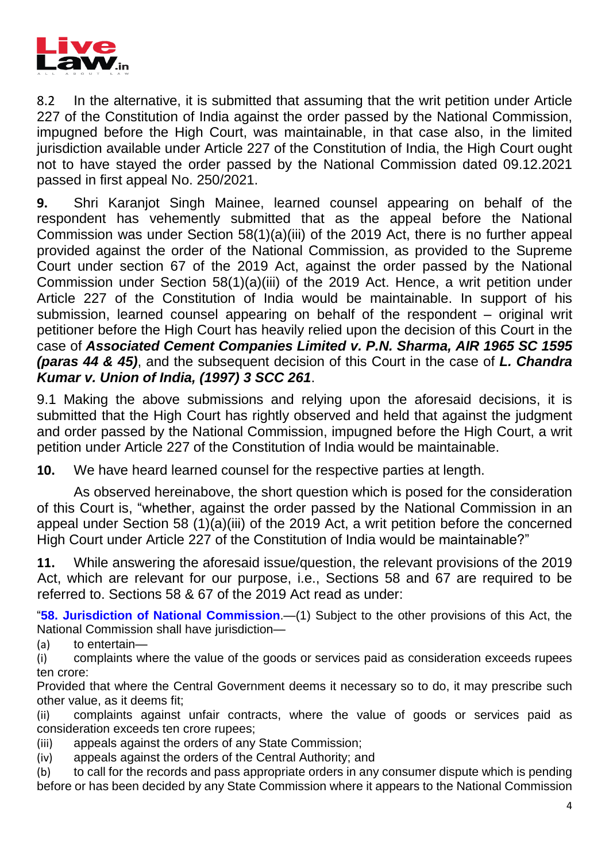

8.2 In the alternative, it is submitted that assuming that the writ petition under Article 227 of the Constitution of India against the order passed by the National Commission, impugned before the High Court, was maintainable, in that case also, in the limited jurisdiction available under Article 227 of the Constitution of India, the High Court ought not to have stayed the order passed by the National Commission dated 09.12.2021 passed in first appeal No. 250/2021.

**9.** Shri Karanjot Singh Mainee, learned counsel appearing on behalf of the respondent has vehemently submitted that as the appeal before the National Commission was under Section 58(1)(a)(iii) of the 2019 Act, there is no further appeal provided against the order of the National Commission, as provided to the Supreme Court under section 67 of the 2019 Act, against the order passed by the National Commission under Section 58(1)(a)(iii) of the 2019 Act. Hence, a writ petition under Article 227 of the Constitution of India would be maintainable. In support of his submission, learned counsel appearing on behalf of the respondent – original writ petitioner before the High Court has heavily relied upon the decision of this Court in the case of *Associated Cement Companies Limited v. P.N. Sharma, AIR 1965 SC 1595 (paras 44 & 45)*, and the subsequent decision of this Court in the case of *L. Chandra Kumar v. Union of India, (1997) 3 SCC 261*.

9.1 Making the above submissions and relying upon the aforesaid decisions, it is submitted that the High Court has rightly observed and held that against the judgment and order passed by the National Commission, impugned before the High Court, a writ petition under Article 227 of the Constitution of India would be maintainable.

**10.** We have heard learned counsel for the respective parties at length.

As observed hereinabove, the short question which is posed for the consideration of this Court is, "whether, against the order passed by the National Commission in an appeal under Section 58 (1)(a)(iii) of the 2019 Act, a writ petition before the concerned High Court under Article 227 of the Constitution of India would be maintainable?"

**11.** While answering the aforesaid issue/question, the relevant provisions of the 2019 Act, which are relevant for our purpose, i.e., Sections 58 and 67 are required to be referred to. Sections 58 & 67 of the 2019 Act read as under:

["](https://www.scconline.com/Members/BrowseResult.aspx#BS058)**58. Jurisdiction of National [Commission](https://www.scconline.com/Members/BrowseResult.aspx#BS058)**[.—](https://www.scconline.com/Members/BrowseResult.aspx#BS058)(1) Subject to the other provisions of this Act, the National Commission shall have jurisdiction—

(a) to entertain—

(i) complaints where the value of the goods or services paid as consideration exceeds rupees ten crore:

Provided that where the Central Government deems it necessary so to do, it may prescribe such other value, as it deems fit;

(ii) complaints against unfair contracts, where the value of goods or services paid as consideration exceeds ten crore rupees;

(iii) appeals against the orders of any State Commission;

(iv) appeals against the orders of the Central Authority; and

(b) to call for the records and pass appropriate orders in any consumer dispute which is pending before or has been decided by any State Commission where it appears to the National Commission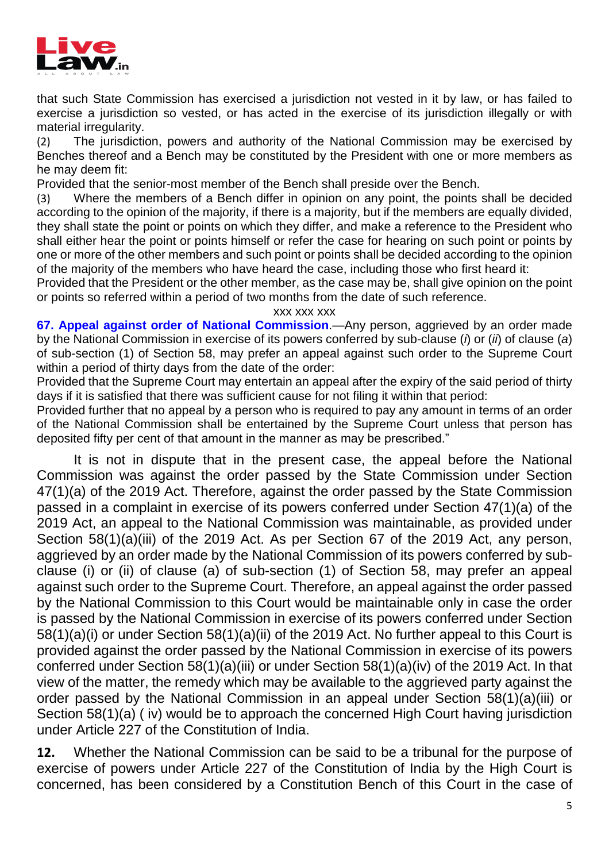

that such State Commission has exercised a jurisdiction not vested in it by law, or has failed to exercise a jurisdiction so vested, or has acted in the exercise of its jurisdiction illegally or with material irregularity.

(2) The jurisdiction, powers and authority of the National Commission may be exercised by Benches thereof and a Bench may be constituted by the President with one or more members as he may deem fit:

Provided that the senior-most member of the Bench shall preside over the Bench.

(3) Where the members of a Bench differ in opinion on any point, the points shall be decided according to the opinion of the majority, if there is a majority, but if the members are equally divided, they shall state the point or points on which they differ, and make a reference to the President who shall either hear the point or points himself or refer the case for hearing on such point or points by one or more of the other members and such point or points shall be decided according to the opinion of the majority of the members who have heard the case, including those who first heard it:

Provided that the President or the other member, as the case may be, shall give opinion on the point or points so referred within a period of two months from the date of such reference.

xxx xxx xxx

**67. Appeal against order of National Commissi[on](https://www.scconline.com/Members/BrowseResult.aspx#BS067)**[.—](https://www.scconline.com/Members/BrowseResult.aspx#BS067)Any person, aggrieved by an order made by the National Commission in exercise of its powers conferred by sub-clause (*i*) or (*ii*) of clause (*a*) of sub-section (1) of Section 58, may prefer an appeal against such order to the Supreme Court within a period of thirty days from the date of the order:

Provided that the Supreme Court may entertain an appeal after the expiry of the said period of thirty days if it is satisfied that there was sufficient cause for not filing it within that period:

Provided further that no appeal by a person who is required to pay any amount in terms of an order of the National Commission shall be entertained by the Supreme Court unless that person has deposited fifty per cent of that amount in the manner as may be prescribed."

It is not in dispute that in the present case, the appeal before the National Commission was against the order passed by the State Commission under Section 47(1)(a) of the 2019 Act. Therefore, against the order passed by the State Commission passed in a complaint in exercise of its powers conferred under Section 47(1)(a) of the 2019 Act, an appeal to the National Commission was maintainable, as provided under Section 58(1)(a)(iii) of the 2019 Act. As per Section 67 of the 2019 Act, any person, aggrieved by an order made by the National Commission of its powers conferred by subclause (i) or (ii) of clause (a) of sub-section (1) of Section 58, may prefer an appeal against such order to the Supreme Court. Therefore, an appeal against the order passed by the National Commission to this Court would be maintainable only in case the order is passed by the National Commission in exercise of its powers conferred under Section 58(1)(a)(i) or under Section 58(1)(a)(ii) of the 2019 Act. No further appeal to this Court is provided against the order passed by the National Commission in exercise of its powers conferred under Section 58(1)(a)(iii) or under Section 58(1)(a)(iv) of the 2019 Act. In that view of the matter, the remedy which may be available to the aggrieved party against the order passed by the National Commission in an appeal under Section 58(1)(a)(iii) or Section 58(1)(a) ( iv) would be to approach the concerned High Court having jurisdiction under Article 227 of the Constitution of India.

**12.** Whether the National Commission can be said to be a tribunal for the purpose of exercise of powers under Article 227 of the Constitution of India by the High Court is concerned, has been considered by a Constitution Bench of this Court in the case of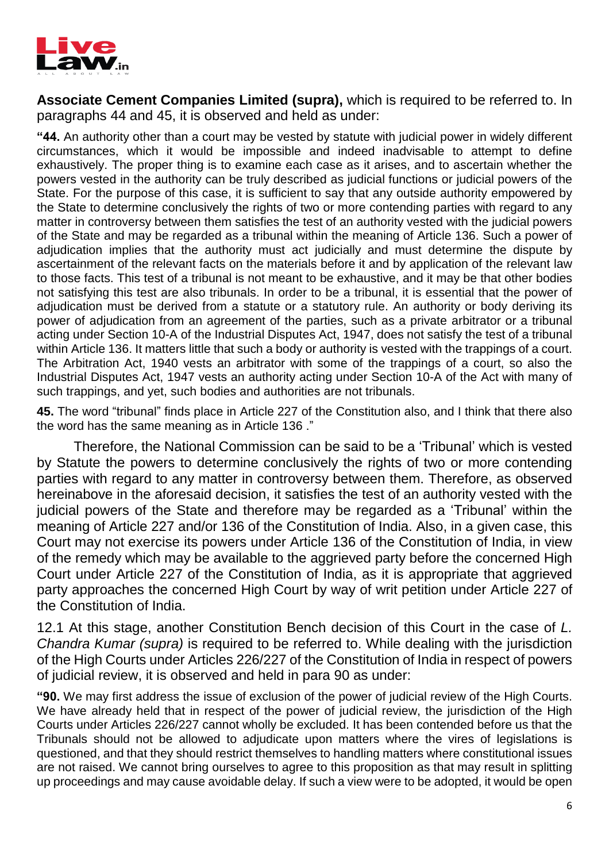

**Associate Cement Companies Limited (supra),** which is required to be referred to. In paragraphs 44 and 45, it is observed and held as under:

**"44.** An authority other than a court may be vested by statute with judicial power in widely different circumstances, which it would be impossible and indeed inadvisable to attempt to define exhaustively. The proper thing is to examine each case as it arises, and to ascertain whether the powers vested in the authority can be truly described as judicial functions or judicial powers of the State. For the purpose of this case, it is sufficient to say that any outside authority empowered by the State to determine conclusively the rights of two or more contending parties with regard to any matter in controversy between them satisfies the test of an authority vested with the judicial powers of the State and may be regarded as a tribunal within the meaning of Article 136. Such a power of adjudication implies that the authority must act judicially and must determine the dispute by ascertainment of the relevant facts on the materials before it and by application of the relevant law to those facts. This test of a tribunal is not meant to be exhaustive, and it may be that other bodies not satisfying this test are also tribunals. In order to be a tribunal, it is essential that the power of adjudication must be derived from a statute or a statutory rule. An authority or body deriving its power of adjudication from an agreement of the parties, such as a private arbitrator or a tribunal acting under Section 10-A of the Industrial Disputes Act, 1947, does not satisfy the test of a tribunal within Article 136. It matters little that such a body or authority is vested with the trappings of a court. The Arbitration Act, 1940 vests an arbitrator with some of the trappings of a court, so also the Industrial Disputes Act, 1947 vests an authority acting under Section 10-A of the Act with many of such trappings, and yet, such bodies and authorities are not tribunals.

**45.** The word "tribunal" finds place in Article 227 of the Constitution also, and I think that there also the word has the same meaning as in Article 136 ."

Therefore, the National Commission can be said to be a 'Tribunal' which is vested by Statute the powers to determine conclusively the rights of two or more contending parties with regard to any matter in controversy between them. Therefore, as observed hereinabove in the aforesaid decision, it satisfies the test of an authority vested with the judicial powers of the State and therefore may be regarded as a 'Tribunal' within the meaning of Article 227 and/or 136 of the Constitution of India. Also, in a given case, this Court may not exercise its powers under Article 136 of the Constitution of India, in view of the remedy which may be available to the aggrieved party before the concerned High Court under Article 227 of the Constitution of India, as it is appropriate that aggrieved party approaches the concerned High Court by way of writ petition under Article 227 of the Constitution of India.

12.1 At this stage, another Constitution Bench decision of this Court in the case of *L. Chandra Kumar (supra)* is required to be referred to. While dealing with the jurisdiction of the High Courts under Articles 226/227 of the Constitution of India in respect of powers of judicial review, it is observed and held in para 90 as under:

**"90.** We may first address the issue of exclusion of the power of judicial review of the High Courts. We have already held that in respect of the power of judicial review, the jurisdiction of the High Courts under Articles 226/227 cannot wholly be excluded. It has been contended before us that the Tribunals should not be allowed to adjudicate upon matters where the vires of legislations is questioned, and that they should restrict themselves to handling matters where constitutional issues are not raised. We cannot bring ourselves to agree to this proposition as that may result in splitting up proceedings and may cause avoidable delay. If such a view were to be adopted, it would be open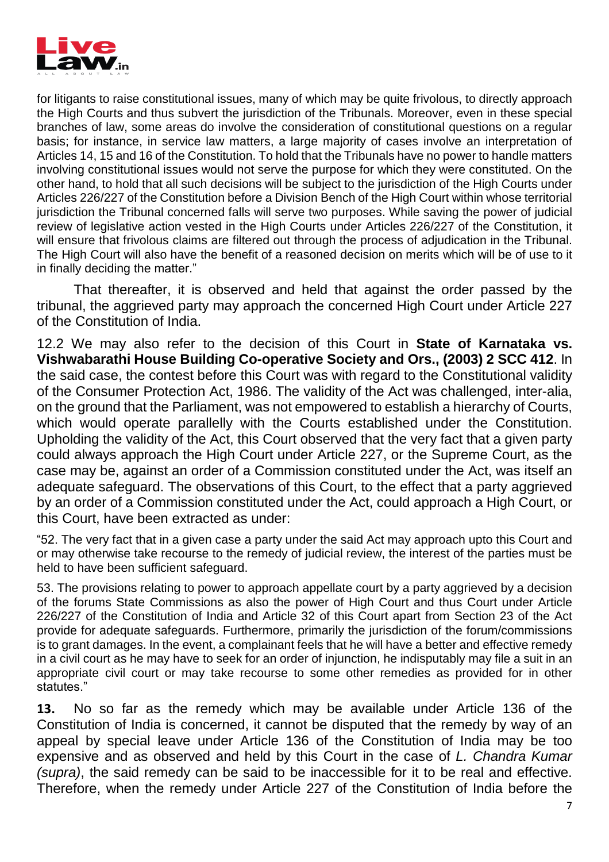

for litigants to raise constitutional issues, many of which may be quite frivolous, to directly approach the High Courts and thus subvert the jurisdiction of the Tribunals. Moreover, even in these special branches of law, some areas do involve the consideration of constitutional questions on a regular basis; for instance, in service law matters, a large majority of cases involve an interpretation of Articles 14, 15 and 16 of the Constitution. To hold that the Tribunals have no power to handle matters involving constitutional issues would not serve the purpose for which they were constituted. On the other hand, to hold that all such decisions will be subject to the jurisdiction of the High Courts under Articles 226/227 of the Constitution before a Division Bench of the High Court within whose territorial jurisdiction the Tribunal concerned falls will serve two purposes. While saving the power of judicial review of legislative action vested in the High Courts under Articles 226/227 of the Constitution, it will ensure that frivolous claims are filtered out through the process of adjudication in the Tribunal. The High Court will also have the benefit of a reasoned decision on merits which will be of use to it in finally deciding the matter."

That thereafter, it is observed and held that against the order passed by the tribunal, the aggrieved party may approach the concerned High Court under Article 227 of the Constitution of India.

12.2 We may also refer to the decision of this Court in **State of Karnataka vs. Vishwabarathi House Building Co-operative Society and Ors., (2003) 2 SCC 412**. In the said case, the contest before this Court was with regard to the Constitutional validity of the Consumer Protection Act, 1986. The validity of the Act was challenged, inter-alia, on the ground that the Parliament, was not empowered to establish a hierarchy of Courts, which would operate parallelly with the Courts established under the Constitution. Upholding the validity of the Act, this Court observed that the very fact that a given party could always approach the High Court under Article 227, or the Supreme Court, as the case may be, against an order of a Commission constituted under the Act, was itself an adequate safeguard. The observations of this Court, to the effect that a party aggrieved by an order of a Commission constituted under the Act, could approach a High Court, or this Court, have been extracted as under:

"52. The very fact that in a given case a party under the said Act may approach upto this Court and or may otherwise take recourse to the remedy of judicial review, the interest of the parties must be held to have been sufficient safeguard.

53. The provisions relating to power to approach appellate court by a party aggrieved by a decision of the forums State Commissions as also the power of High Court and thus Court under Article 226/227 of the Constitution of India and Article 32 of this Court apart from Section 23 of the Act provide for adequate safeguards. Furthermore, primarily the jurisdiction of the forum/commissions is to grant damages. In the event, a complainant feels that he will have a better and effective remedy in a civil court as he may have to seek for an order of injunction, he indisputably may file a suit in an appropriate civil court or may take recourse to some other remedies as provided for in other statutes."

**13.** No so far as the remedy which may be available under Article 136 of the Constitution of India is concerned, it cannot be disputed that the remedy by way of an appeal by special leave under Article 136 of the Constitution of India may be too expensive and as observed and held by this Court in the case of *L. Chandra Kumar (supra)*, the said remedy can be said to be inaccessible for it to be real and effective. Therefore, when the remedy under Article 227 of the Constitution of India before the